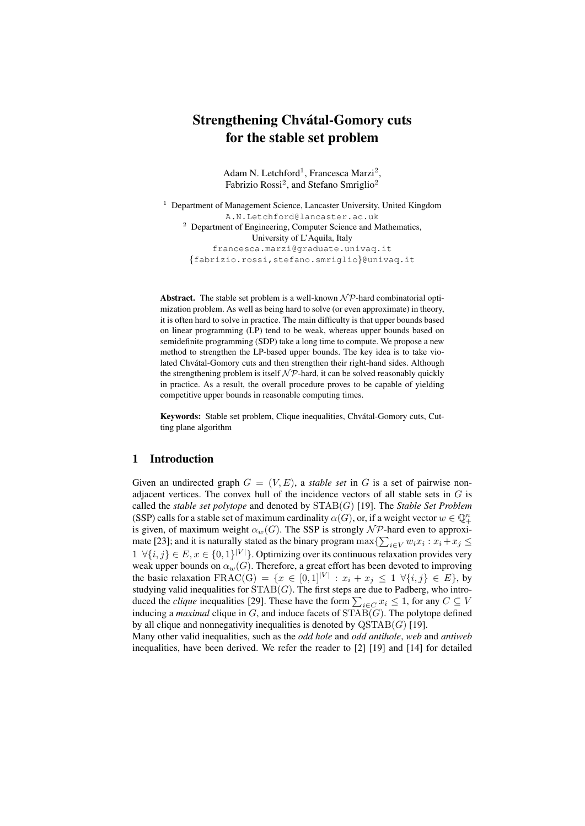# Strengthening Chvátal-Gomory cuts for the stable set problem

Adam N. Letchford<sup>1</sup>, Francesca Marzi<sup>2</sup>, Fabrizio Rossi<sup>2</sup>, and Stefano Smriglio<sup>2</sup>

<sup>1</sup> Department of Management Science, Lancaster University, United Kingdom A.N.Letchford@lancaster.ac.uk <sup>2</sup> Department of Engineering, Computer Science and Mathematics, University of L'Aquila, Italy francesca.marzi@graduate.univaq.it {fabrizio.rossi,stefano.smriglio}@univaq.it

Abstract. The stable set problem is a well-known  $\mathcal{NP}$ -hard combinatorial optimization problem. As well as being hard to solve (or even approximate) in theory, it is often hard to solve in practice. The main difficulty is that upper bounds based on linear programming (LP) tend to be weak, whereas upper bounds based on semidefinite programming (SDP) take a long time to compute. We propose a new method to strengthen the LP-based upper bounds. The key idea is to take violated Chvátal-Gomory cuts and then strengthen their right-hand sides. Although the strengthening problem is itself  $N\mathcal{P}$ -hard, it can be solved reasonably quickly in practice. As a result, the overall procedure proves to be capable of yielding competitive upper bounds in reasonable computing times.

Keywords: Stable set problem, Clique inequalities, Chvátal-Gomory cuts, Cutting plane algorithm

### 1 Introduction

Given an undirected graph  $G = (V, E)$ , a *stable set* in G is a set of pairwise nonadjacent vertices. The convex hull of the incidence vectors of all stable sets in  $G$  is called the *stable set polytope* and denoted by STAB(G) [19]. The *Stable Set Problem* (SSP) calls for a stable set of maximum cardinality  $\alpha(G)$ , or, if a weight vector  $w \in \mathbb{Q}_+^n$ is given, of maximum weight  $\alpha_w(G)$ . The SSP is strongly  $\mathcal{NP}$ -hard even to approximate [23]; and it is naturally stated as the binary program  $\max\{\sum_{i\in V} w_i x_i : x_i + x_j \leq$  $1 \ \forall \{i, j\} \in E, x \in \{0, 1\}^{|V|}\}.$  Optimizing over its continuous relaxation provides very weak upper bounds on  $\alpha_w(G)$ . Therefore, a great effort has been devoted to improving the basic relaxation  $\text{FRAC}(\text{G}) = \{x \in [0,1]^{|V|} : x_i + x_j \leq 1 \; \forall \{i,j\} \in E\}$ , by studying valid inequalities for  $STAB(G)$ . The first steps are due to Padberg, who introduced the *clique* inequalities [29]. These have the form  $\sum_{i \in C} x_i \leq 1$ , for any  $C \subseteq V$ inducing a *maximal* clique in  $G$ , and induce facets of  $STAB(G)$ . The polytope defined by all clique and nonnegativity inequalities is denoted by  $\text{QSTAB}(G)$  [19].

Many other valid inequalities, such as the *odd hole* and *odd antihole*, *web* and *antiweb* inequalities, have been derived. We refer the reader to [2] [19] and [14] for detailed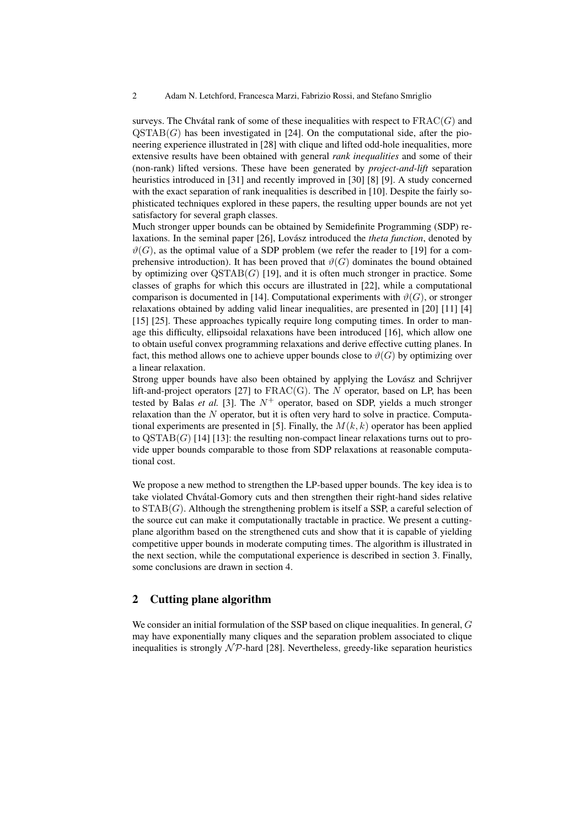surveys. The Chvátal rank of some of these inequalities with respect to  $\text{FRAC}(G)$  and  $QSTAB(G)$  has been investigated in [24]. On the computational side, after the pioneering experience illustrated in [28] with clique and lifted odd-hole inequalities, more extensive results have been obtained with general *rank inequalities* and some of their (non-rank) lifted versions. These have been generated by *project-and-lift* separation heuristics introduced in [31] and recently improved in [30] [8] [9]. A study concerned with the exact separation of rank inequalities is described in [10]. Despite the fairly sophisticated techniques explored in these papers, the resulting upper bounds are not yet satisfactory for several graph classes.

Much stronger upper bounds can be obtained by Semidefinite Programming (SDP) relaxations. In the seminal paper [26], Lovász introduced the *theta function*, denoted by  $\vartheta(G)$ , as the optimal value of a SDP problem (we refer the reader to [19] for a comprehensive introduction). It has been proved that  $\vartheta(G)$  dominates the bound obtained by optimizing over  $QSTAB(G)$  [19], and it is often much stronger in practice. Some classes of graphs for which this occurs are illustrated in [22], while a computational comparison is documented in [14]. Computational experiments with  $\vartheta(G)$ , or stronger relaxations obtained by adding valid linear inequalities, are presented in [20] [11] [4] [15] [25]. These approaches typically require long computing times. In order to manage this difficulty, ellipsoidal relaxations have been introduced [16], which allow one to obtain useful convex programming relaxations and derive effective cutting planes. In fact, this method allows one to achieve upper bounds close to  $\vartheta(G)$  by optimizing over a linear relaxation.

Strong upper bounds have also been obtained by applying the Lovász and Schrijver lift-and-project operators [27] to  $\text{FRAC}(G)$ . The N operator, based on LP, has been tested by Balas *et al.* [3]. The  $N^+$  operator, based on SDP, yields a much stronger relaxation than the  $N$  operator, but it is often very hard to solve in practice. Computational experiments are presented in [5]. Finally, the  $M(k, k)$  operator has been applied to  $\text{QSTAB}(G)$  [14] [13]: the resulting non-compact linear relaxations turns out to provide upper bounds comparable to those from SDP relaxations at reasonable computational cost.

We propose a new method to strengthen the LP-based upper bounds. The key idea is to take violated Chvátal-Gomory cuts and then strengthen their right-hand sides relative to  $STAB(G)$ . Although the strengthening problem is itself a SSP, a careful selection of the source cut can make it computationally tractable in practice. We present a cuttingplane algorithm based on the strengthened cuts and show that it is capable of yielding competitive upper bounds in moderate computing times. The algorithm is illustrated in the next section, while the computational experience is described in section 3. Finally, some conclusions are drawn in section 4.

## 2 Cutting plane algorithm

We consider an initial formulation of the SSP based on clique inequalities. In general, G may have exponentially many cliques and the separation problem associated to clique inequalities is strongly  $N\mathcal{P}$ -hard [28]. Nevertheless, greedy-like separation heuristics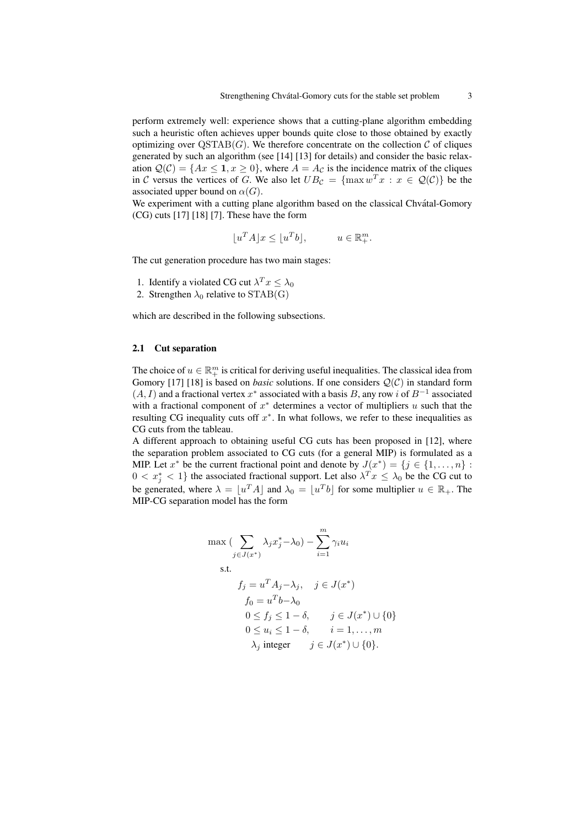perform extremely well: experience shows that a cutting-plane algorithm embedding such a heuristic often achieves upper bounds quite close to those obtained by exactly optimizing over  $\text{QSTAB}(G)$ . We therefore concentrate on the collection  $\mathcal C$  of cliques generated by such an algorithm (see [14] [13] for details) and consider the basic relaxation  $\mathcal{Q}(\mathcal{C}) = \{Ax \leq 1, x \geq 0\}$ , where  $A = A_{\mathcal{C}}$  is the incidence matrix of the cliques in C versus the vertices of G. We also let  $UB_{\mathcal{C}} = \{\max w^T x : x \in \mathcal{Q}(\mathcal{C})\}\)$  be the associated upper bound on  $\alpha(G)$ .

We experiment with a cutting plane algorithm based on the classical Chvatal-Gomory (CG) cuts [17] [18] [7]. These have the form

$$
\lfloor u^T A \rfloor x \le \lfloor u^T b \rfloor, \qquad u \in \mathbb{R}^m_+.
$$

The cut generation procedure has two main stages:

- 1. Identify a violated CG cut  $\lambda^T x \leq \lambda_0$
- 2. Strengthen  $\lambda_0$  relative to STAB(G)

which are described in the following subsections.

#### 2.1 Cut separation

The choice of  $u \in \mathbb{R}^m_+$  is critical for deriving useful inequalities. The classical idea from Gomory [17] [18] is based on *basic* solutions. If one considers Q(C) in standard form  $(A, I)$  and a fractional vertex  $x^*$  associated with a basis B, any row i of  $B^{-1}$  associated with a fractional component of  $x^*$  determines a vector of multipliers  $u$  such that the resulting CG inequality cuts off  $x^*$ . In what follows, we refer to these inequalities as CG cuts from the tableau.

A different approach to obtaining useful CG cuts has been proposed in [12], where the separation problem associated to CG cuts (for a general MIP) is formulated as a MIP. Let  $x^*$  be the current fractional point and denote by  $J(x^*) = \{j \in \{1, ..., n\} :$  $0 < x_j^* < 1$ } the associated fractional support. Let also  $\lambda^T x \leq \lambda_0$  be the CG cut to be generated, where  $\lambda = \lfloor u^T A \rfloor$  and  $\lambda_0 = \lfloor u^T b \rfloor$  for some multiplier  $u \in \mathbb{R}_+$ . The MIP-CG separation model has the form

$$
\max \left( \sum_{j \in J(x^*)} \lambda_j x_j^* - \lambda_0 \right) - \sum_{i=1}^m \gamma_i u_i
$$
\ns.t.

\n
$$
f_j = u^T A_j - \lambda_j, \quad j \in J(x^*)
$$
\n
$$
f_0 = u^T b - \lambda_0
$$
\n
$$
0 \le f_j \le 1 - \delta, \quad j \in J(x^*) \cup \{0\}
$$
\n
$$
0 \le u_i \le 1 - \delta, \quad i = 1, \dots, m
$$
\n
$$
\lambda_j \text{ integer} \quad j \in J(x^*) \cup \{0\}.
$$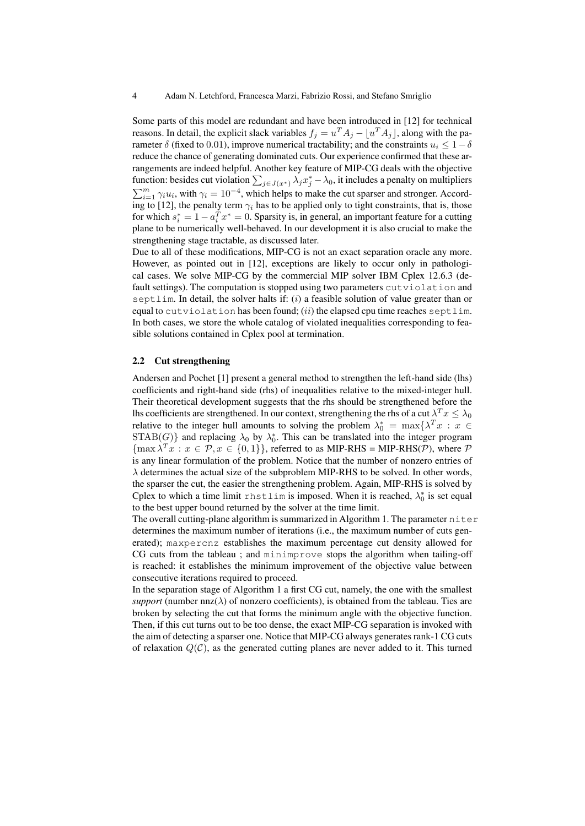Some parts of this model are redundant and have been introduced in [12] for technical reasons. In detail, the explicit slack variables  $f_j = u^T A_j - \lfloor u^T A_j \rfloor$ , along with the parameter  $\delta$  (fixed to 0.01), improve numerical tractability; and the constraints  $u_i \leq 1-\delta$ reduce the chance of generating dominated cuts. Our experience confirmed that these arrangements are indeed helpful. Another key feature of MIP-CG deals with the objective function: besides cut violation  $\sum_{j\in J(x^*)}\lambda_j x^*_j - \lambda_0$ , it includes a penalty on multipliers  $\sum_{i=1}^{m} \gamma_i u_i$ , with  $\gamma_i = 10^{-4}$ , which helps to make the cut sparser and stronger. According to [12], the penalty term  $\gamma_i$  has to be applied only to tight constraints, that is, those for which  $s_i^* = 1 - a_i^T x^* = 0$ . Sparsity is, in general, an important feature for a cutting plane to be numerically well-behaved. In our development it is also crucial to make the strengthening stage tractable, as discussed later.

Due to all of these modifications, MIP-CG is not an exact separation oracle any more. However, as pointed out in [12], exceptions are likely to occur only in pathological cases. We solve MIP-CG by the commercial MIP solver IBM Cplex 12.6.3 (default settings). The computation is stopped using two parameters cutviolation and septlim. In detail, the solver halts if:  $(i)$  a feasible solution of value greater than or equal to cutviolation has been found; (ii) the elapsed cpu time reaches septlim. In both cases, we store the whole catalog of violated inequalities corresponding to feasible solutions contained in Cplex pool at termination.

### 2.2 Cut strengthening

Andersen and Pochet [1] present a general method to strengthen the left-hand side (lhs) coefficients and right-hand side (rhs) of inequalities relative to the mixed-integer hull. Their theoretical development suggests that the rhs should be strengthened before the lhs coefficients are strengthened. In our context, strengthening the rhs of a cut  $\lambda^T x \leq \lambda_0$ relative to the integer hull amounts to solving the problem  $\lambda_0^* = \max\{\lambda^T x : x \in$  $STAB(G)$ } and replacing  $\lambda_0$  by  $\lambda_0^*$ . This can be translated into the integer program  ${\max \lambda}^T x : x \in \mathcal{P}, x \in \{0, 1\}$ , referred to as MIP-RHS = MIP-RHS(P), where P is any linear formulation of the problem. Notice that the number of nonzero entries of  $\lambda$  determines the actual size of the subproblem MIP-RHS to be solved. In other words, the sparser the cut, the easier the strengthening problem. Again, MIP-RHS is solved by Cplex to which a time limit rhstlim is imposed. When it is reached,  $\lambda_0^*$  is set equal to the best upper bound returned by the solver at the time limit.

The overall cutting-plane algorithm is summarized in Algorithm 1. The parameter  $n$  iter determines the maximum number of iterations (i.e., the maximum number of cuts generated); maxpercnz establishes the maximum percentage cut density allowed for CG cuts from the tableau ; and minimprove stops the algorithm when tailing-off is reached: it establishes the minimum improvement of the objective value between consecutive iterations required to proceed.

In the separation stage of Algorithm 1 a first CG cut, namely, the one with the smallest *support* (number  $nnz(\lambda)$  of nonzero coefficients), is obtained from the tableau. Ties are broken by selecting the cut that forms the minimum angle with the objective function. Then, if this cut turns out to be too dense, the exact MIP-CG separation is invoked with the aim of detecting a sparser one. Notice that MIP-CG always generates rank-1 CG cuts of relaxation  $Q(\mathcal{C})$ , as the generated cutting planes are never added to it. This turned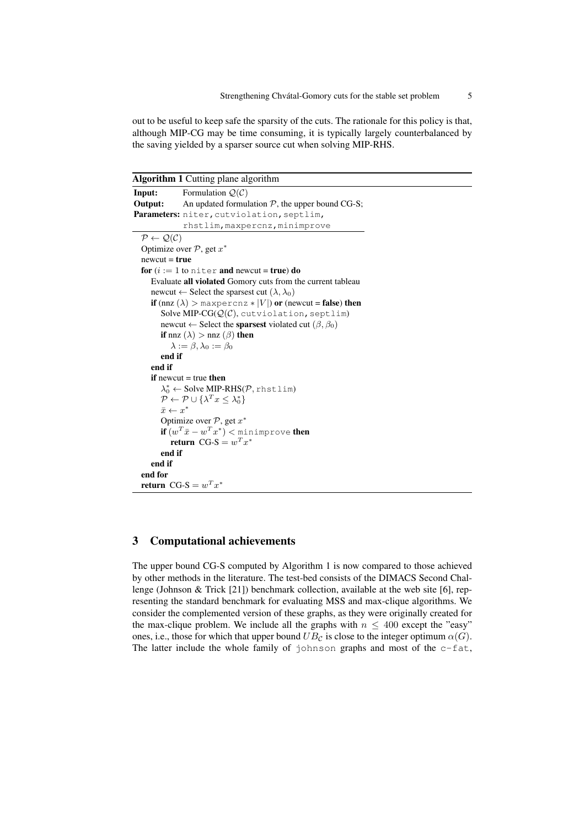out to be useful to keep safe the sparsity of the cuts. The rationale for this policy is that, although MIP-CG may be time consuming, it is typically largely counterbalanced by the saving yielded by a sparser source cut when solving MIP-RHS.

Algorithm 1 Cutting plane algorithm

```
Input: Formulation Q(C)Output: An updated formulation \mathcal{P}, the upper bound CG-S;
Parameters: niter, cutviolation, septlim,
                rhstlim, maxpercnz, minimprove
  P \leftarrow \mathcal{Q}(\mathcal{C})Optimize over P, get x^*newcut = truefor (i := 1 to niter and newcut = true) do
     Evaluate all violated Gomory cuts from the current tableau
     newcut \leftarrow Select the sparsest cut (\lambda, \lambda_0)if (nnz (\lambda) > maxpercnz * |V|) or (newcut = false) then
         Solve MIP-CG(Q(\mathcal{C})), cutviolation, septlim)
         newcut \leftarrow Select the sparsest violated cut (\beta, \beta_0)if nnz (\lambda) > nnz (\beta) then
            \lambda := \beta, \lambda_0 := \beta_0end if
     end if
     if newcut = true then
         \lambda_0^* \leftarrow Solve MIP-RHS(P, rhstlim)
         \mathcal{P} \leftarrow \mathcal{P} \cup \{\lambda^T x \leq \lambda_0^*\}\bar{x} \leftarrow x^*Optimize over P, get x^*\mathbf{if} \ (w^T\bar{x} - w^T x^*) < \text{\tt minimize number}return CG-S = w^T x^*end if
     end if
  end for
   return CG-S = w^T x^*
```
## 3 Computational achievements

The upper bound CG-S computed by Algorithm 1 is now compared to those achieved by other methods in the literature. The test-bed consists of the DIMACS Second Challenge (Johnson & Trick [21]) benchmark collection, available at the web site [6], representing the standard benchmark for evaluating MSS and max-clique algorithms. We consider the complemented version of these graphs, as they were originally created for the max-clique problem. We include all the graphs with  $n \leq 400$  except the "easy" ones, i.e., those for which that upper bound  $UB_{\mathcal{C}}$  is close to the integer optimum  $\alpha(G)$ . The latter include the whole family of johnson graphs and most of the c-fat,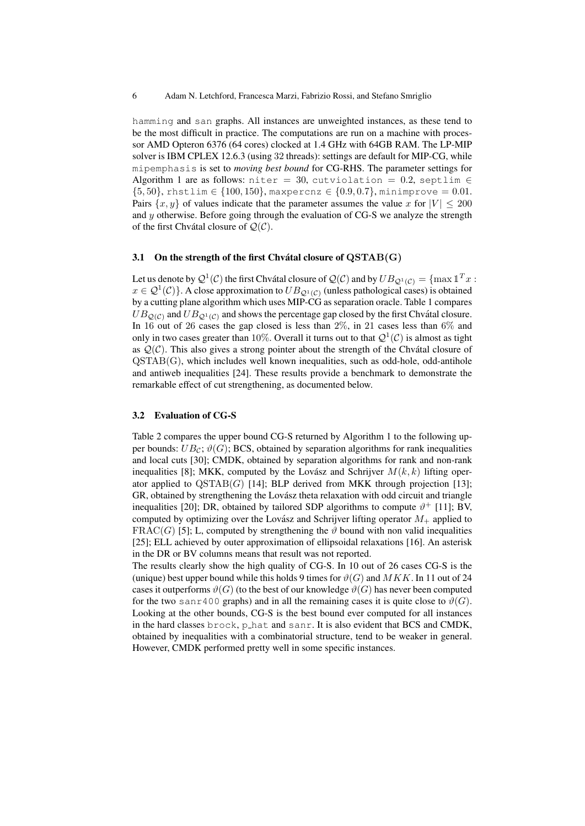hamming and san graphs. All instances are unweighted instances, as these tend to be the most difficult in practice. The computations are run on a machine with processor AMD Opteron 6376 (64 cores) clocked at 1.4 GHz with 64GB RAM. The LP-MIP solver is IBM CPLEX 12.6.3 (using 32 threads): settings are default for MIP-CG, while mipemphasis is set to *moving best bound* for CG-RHS. The parameter settings for Algorithm 1 are as follows: niter = 30, cutviolation = 0.2, septlim  $\in$  ${5, 50}$ , rhstlim  $\in$  {100, 150}, maxpercnz  $\in$  {0.9, 0.7}, minimprove = 0.01. Pairs  $\{x, y\}$  of values indicate that the parameter assumes the value x for  $|V| < 200$ and  $y$  otherwise. Before going through the evaluation of CG-S we analyze the strength of the first Chvátal closure of  $Q(\mathcal{C})$ .

#### 3.1 On the strength of the first Chvátal closure of  $\text{QSTAB}(G)$

Let us denote by  $\mathcal{Q}^1(\mathcal{C})$  the first Chvátal closure of  $\mathcal{Q}(\mathcal{C})$  and by  $UB_{\mathcal{Q}^1(\mathcal{C})}=\{\max \mathbb{1}^T x:$  $x \in \mathcal{Q}^1(\mathcal{C})\}$ . A close approximation to  $UB_{\mathcal{Q}^1(\mathcal{C})}$  (unless pathological cases) is obtained by a cutting plane algorithm which uses MIP-CG as separation oracle. Table 1 compares  $UB_{\mathcal{Q}(\mathcal{C})}$  and  $UB_{\mathcal{Q}^1(\mathcal{C})}$  and shows the percentage gap closed by the first Chvátal closure. In 16 out of 26 cases the gap closed is less than 2%, in 21 cases less than 6% and only in two cases greater than 10%. Overall it turns out to that  $\mathcal{Q}^1(\mathcal{C})$  is almost as tight as  $\mathcal{Q}(\mathcal{C})$ . This also gives a strong pointer about the strength of the Chvátal closure of  $OSTAB(G)$ , which includes well known inequalities, such as odd-hole, odd-antihole and antiweb inequalities [24]. These results provide a benchmark to demonstrate the remarkable effect of cut strengthening, as documented below.

#### 3.2 Evaluation of CG-S

Table 2 compares the upper bound CG-S returned by Algorithm 1 to the following upper bounds:  $UB_{\mathcal{C}}$ ;  $\vartheta(G)$ ; BCS, obtained by separation algorithms for rank inequalities and local cuts [30]; CMDK, obtained by separation algorithms for rank and non-rank inequalities [8]; MKK, computed by the Lovász and Schrijver  $M(k, k)$  lifting operator applied to  $\text{QSTAB}(G)$  [14]; BLP derived from MKK through projection [13]; GR, obtained by strengthening the Lovász theta relaxation with odd circuit and triangle inequalities [20]; DR, obtained by tailored SDP algorithms to compute  $\vartheta^+$  [11]; BV, computed by optimizing over the Lovász and Schrijver lifting operator  $M_+$  applied to FRAC(G) [5]; L, computed by strengthening the  $\vartheta$  bound with non valid inequalities [25]; ELL achieved by outer approximation of ellipsoidal relaxations [16]. An asterisk in the DR or BV columns means that result was not reported.

The results clearly show the high quality of CG-S. In 10 out of 26 cases CG-S is the (unique) best upper bound while this holds 9 times for  $\vartheta(G)$  and  $MKK$ . In 11 out of 24 cases it outperforms  $\vartheta(G)$  (to the best of our knowledge  $\vartheta(G)$  has never been computed for the two sanr400 graphs) and in all the remaining cases it is quite close to  $\vartheta(G)$ . Looking at the other bounds, CG-S is the best bound ever computed for all instances in the hard classes brock, p hat and sanr. It is also evident that BCS and CMDK, obtained by inequalities with a combinatorial structure, tend to be weaker in general. However, CMDK performed pretty well in some specific instances.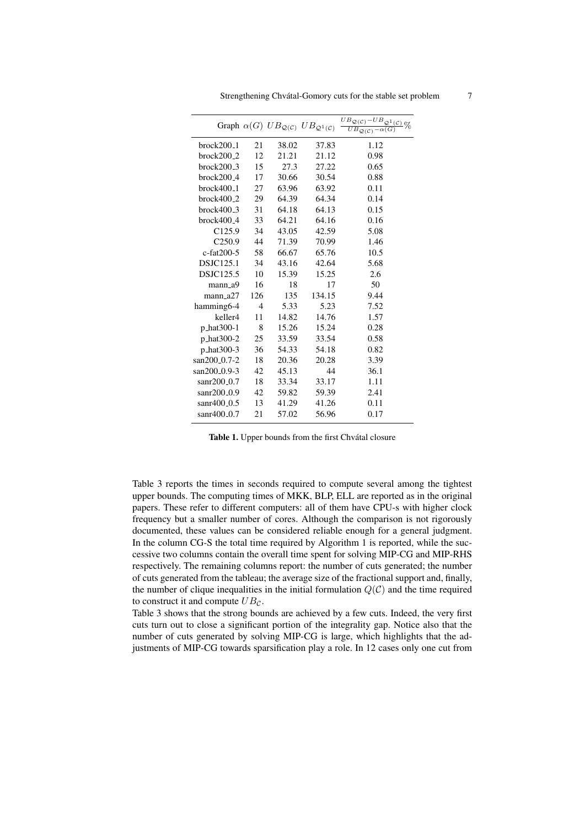|                           |                |       | Graph $\alpha(G)$ $UB_{\mathcal{Q}(\mathcal{C})}$ $UB_{\mathcal{Q}^1(\mathcal{C})}$ | $\frac{UB_{{\cal Q}({\cal C})}-UB_{{\cal Q}^1({\cal C})}}{UB_{{\cal Q}({\cal C})}-\alpha(G)}\%$ |
|---------------------------|----------------|-------|-------------------------------------------------------------------------------------|-------------------------------------------------------------------------------------------------|
| $brock200_1$              | 21             | 38.02 | 37.83                                                                               | 1.12                                                                                            |
| $brock200_2$              | 12             | 21.21 | 21.12                                                                               | 0.98                                                                                            |
| $brock200_3$              | 15             | 27.3  | 27.22                                                                               | 0.65                                                                                            |
| $brock200_4$              | 17             | 30.66 | 30.54                                                                               | 0.88                                                                                            |
| $brock400_1$              | 27             | 63.96 | 63.92                                                                               | 0.11                                                                                            |
| $brock400_2$              | 29             | 64.39 | 64.34                                                                               | 0.14                                                                                            |
| $brock400_3$              | 31             | 64.18 | 64.13                                                                               | 0.15                                                                                            |
| $brock400_4$              | 33             | 64.21 | 64.16                                                                               | 0.16                                                                                            |
| C <sub>125.9</sub>        | 34             | 43.05 | 42.59                                                                               | 5.08                                                                                            |
| C <sub>250.9</sub>        | 44             | 71.39 | 70.99                                                                               | 1.46                                                                                            |
| c-fat200-5                | 58             | 66.67 | 65.76                                                                               | 10.5                                                                                            |
| DSJC125.1                 | 34             | 43.16 | 42.64                                                                               | 5.68                                                                                            |
| DSJC125.5                 | 10             | 15.39 | 15.25                                                                               | 2.6                                                                                             |
| mann_a9                   | 16             | 18    | 17                                                                                  | 50                                                                                              |
| mann a27                  | 126            | 135   | 134.15                                                                              | 9.44                                                                                            |
| hamming6-4                | $\overline{4}$ | 5.33  | 5.23                                                                                | 7.52                                                                                            |
| keller4                   | 11             | 14.82 | 14.76                                                                               | 1.57                                                                                            |
| p_hat300-1                | 8              | 15.26 | 15.24                                                                               | 0.28                                                                                            |
| p_hat300-2                | 25             | 33.59 | 33.54                                                                               | 0.58                                                                                            |
| p_hat300-3                | 36             | 54.33 | 54.18                                                                               | 0.82                                                                                            |
| san200 <sub>-0.7</sub> -2 | 18             | 20.36 | 20.28                                                                               | 3.39                                                                                            |
| san200 <sub>-0.9</sub> -3 | 42             | 45.13 | 44                                                                                  | 36.1                                                                                            |
| sanr200_0.7               | 18             | 33.34 | 33.17                                                                               | 1.11                                                                                            |
| sanr200_0.9               | 42             | 59.82 | 59.39                                                                               | 2.41                                                                                            |
| sanr400 <sub>-0.5</sub>   | 13             | 41.29 | 41.26                                                                               | 0.11                                                                                            |
| sanr $400\_0.7$           | 21             | 57.02 | 56.96                                                                               | 0.17                                                                                            |

Strengthening Chvátal-Gomory cuts for the stable set problem  $7$ 

Table 1. Upper bounds from the first Chvátal closure

Table 3 reports the times in seconds required to compute several among the tightest upper bounds. The computing times of MKK, BLP, ELL are reported as in the original papers. These refer to different computers: all of them have CPU-s with higher clock frequency but a smaller number of cores. Although the comparison is not rigorously documented, these values can be considered reliable enough for a general judgment. In the column CG-S the total time required by Algorithm 1 is reported, while the successive two columns contain the overall time spent for solving MIP-CG and MIP-RHS respectively. The remaining columns report: the number of cuts generated; the number of cuts generated from the tableau; the average size of the fractional support and, finally, the number of clique inequalities in the initial formulation  $Q(C)$  and the time required to construct it and compute  $UB_{\mathcal{C}}$ .

Table 3 shows that the strong bounds are achieved by a few cuts. Indeed, the very first cuts turn out to close a significant portion of the integrality gap. Notice also that the number of cuts generated by solving MIP-CG is large, which highlights that the adjustments of MIP-CG towards sparsification play a role. In 12 cases only one cut from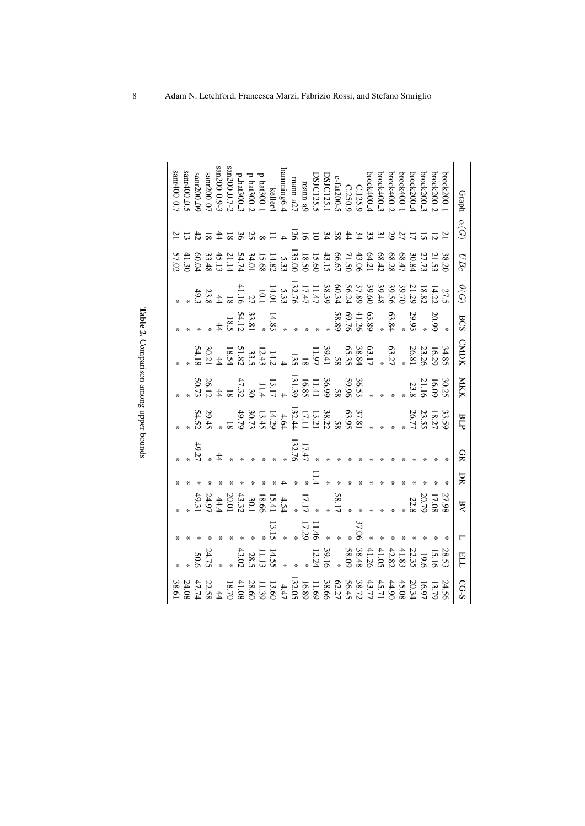|                         |                       |       |                                                                                                    |    |             |                                                       |                                                                                                                                                                                                                                                                                                        |                                                                                                                                                                                                                                                                                                                           |                                                                                                                                                                                                                                                                                                                                                  |                |    |             | sanr400 <sub>-0</sub> .                                                                                                                                                                                |
|-------------------------|-----------------------|-------|----------------------------------------------------------------------------------------------------|----|-------------|-------------------------------------------------------|--------------------------------------------------------------------------------------------------------------------------------------------------------------------------------------------------------------------------------------------------------------------------------------------------------|---------------------------------------------------------------------------------------------------------------------------------------------------------------------------------------------------------------------------------------------------------------------------------------------------------------------------|--------------------------------------------------------------------------------------------------------------------------------------------------------------------------------------------------------------------------------------------------------------------------------------------------------------------------------------------------|----------------|----|-------------|--------------------------------------------------------------------------------------------------------------------------------------------------------------------------------------------------------|
|                         |                       |       |                                                                                                    |    |             |                                                       |                                                                                                                                                                                                                                                                                                        |                                                                                                                                                                                                                                                                                                                           |                                                                                                                                                                                                                                                                                                                                                  |                |    |             |                                                                                                                                                                                                        |
|                         |                       |       |                                                                                                    |    |             |                                                       |                                                                                                                                                                                                                                                                                                        |                                                                                                                                                                                                                                                                                                                           |                                                                                                                                                                                                                                                                                                                                                  |                |    |             | $s$ anr200 $\!\!0.09$<br>sanr400 $\!\!0.05$                                                                                                                                                            |
|                         | 24.7.<br>24.7.        |       |                                                                                                    |    |             | $29.45$<br>54.52                                      |                                                                                                                                                                                                                                                                                                        |                                                                                                                                                                                                                                                                                                                           |                                                                                                                                                                                                                                                                                                                                                  |                |    |             | $200-0.7$                                                                                                                                                                                              |
|                         |                       |       |                                                                                                    |    |             |                                                       |                                                                                                                                                                                                                                                                                                        |                                                                                                                                                                                                                                                                                                                           |                                                                                                                                                                                                                                                                                                                                                  |                |    |             |                                                                                                                                                                                                        |
|                         |                       |       |                                                                                                    |    |             |                                                       |                                                                                                                                                                                                                                                                                                        |                                                                                                                                                                                                                                                                                                                           |                                                                                                                                                                                                                                                                                                                                                  |                |    |             |                                                                                                                                                                                                        |
|                         |                       |       | $4.54$<br>$15.45$<br>$18.6$<br>$18.6$<br>$13.32$<br>$14.4$<br>$14.9$<br>$14.9$<br>$14.9$<br>$14.9$ |    |             |                                                       | $\begin{array}{ll} 36.8 & 36.9 & 36.9 & 36.9 \\ * & 36.9 & 36.9 & 36.9 \\ * & 36.9 & 36.9 & 36.9 \\ * & 36.9 & 36.9 & 36.9 \\ * & 36.9 & 36.9 & 36.9 \\ * & 36.9 & 36.9 & 36.9 \\ * & 36.9 & 36.9 & 36.9 \\ * & 36.9 & 36.9 & 36.9 \\ * & 36.9 & 36.9 & 36.9 \\ * & 36.9 & 36.9 & 36.9 \\ * & 36.9 & $ | $\begin{array}{cccc} 34.1030 & 0 & 0 & 38.0 & 0 & 1 \\ 0 & 0 & 0 & 0 & 0 & 0 \\ 0 & 0 & 0 & 0 & 0 & 0 \\ 0 & 0 & 0 & 0 & 0 & 0 \\ 0 & 0 & 0 & 0 & 0 & 0 \\ 0 & 0 & 0 & 0 & 0 & 0 \\ 0 & 0 & 0 & 0 & 0 & 0 \\ 0 & 0 & 0 & 0 & 0 & 0 \\ 0 & 0 & 0 & 0 & 0 & 0 \\ 0 & 0 & 0 & 0 & 0 & 0 \\ 0 & 0 & 0 & 0 & 0 & 0 \\ 0 & 0 &$ | $14.83$<br>$33.81$<br>$18.5$<br>$18.5$<br>$18.5$                                                                                                                                                                                                                                                                                                 |                |    |             | $\begin{array}{l} \rm p\,ln1300.3 \\ \rm s\,m200.0.7-2 \\ \rm s\,m200.0.9-3 \end{array}$                                                                                                               |
|                         |                       |       |                                                                                                    |    |             |                                                       |                                                                                                                                                                                                                                                                                                        |                                                                                                                                                                                                                                                                                                                           |                                                                                                                                                                                                                                                                                                                                                  |                |    |             |                                                                                                                                                                                                        |
|                         | $\frac{11.13}{28.02}$ |       |                                                                                                    |    |             |                                                       |                                                                                                                                                                                                                                                                                                        |                                                                                                                                                                                                                                                                                                                           |                                                                                                                                                                                                                                                                                                                                                  |                |    |             |                                                                                                                                                                                                        |
|                         | 14.5                  |       |                                                                                                    |    |             |                                                       |                                                                                                                                                                                                                                                                                                        |                                                                                                                                                                                                                                                                                                                           |                                                                                                                                                                                                                                                                                                                                                  |                |    |             |                                                                                                                                                                                                        |
|                         |                       |       |                                                                                                    |    |             |                                                       |                                                                                                                                                                                                                                                                                                        |                                                                                                                                                                                                                                                                                                                           |                                                                                                                                                                                                                                                                                                                                                  |                |    |             |                                                                                                                                                                                                        |
|                         |                       |       |                                                                                                    |    | 132.7       |                                                       |                                                                                                                                                                                                                                                                                                        |                                                                                                                                                                                                                                                                                                                           |                                                                                                                                                                                                                                                                                                                                                  |                |    | ΙŽ          |                                                                                                                                                                                                        |
|                         |                       |       | 17.17                                                                                              |    | 17.4        |                                                       |                                                                                                                                                                                                                                                                                                        |                                                                                                                                                                                                                                                                                                                           |                                                                                                                                                                                                                                                                                                                                                  |                |    |             |                                                                                                                                                                                                        |
|                         |                       | 11.46 |                                                                                                    |    |             |                                                       |                                                                                                                                                                                                                                                                                                        |                                                                                                                                                                                                                                                                                                                           |                                                                                                                                                                                                                                                                                                                                                  |                |    |             | brock400.3<br>C.125.9<br>C.125.9<br>C.125.9<br>C.125.9<br>DSJC125.1<br>DSJC125.1<br>DSJC125.5<br>DSJC125.5<br>DSJC125.5<br>Ramming6-4<br>Phar300.2<br>Phar300.2<br>Phar300.2<br>Phar300.2<br>Phar300.1 |
|                         |                       |       |                                                                                                    |    |             |                                                       |                                                                                                                                                                                                                                                                                                        |                                                                                                                                                                                                                                                                                                                           |                                                                                                                                                                                                                                                                                                                                                  |                |    |             |                                                                                                                                                                                                        |
|                         |                       |       | 58.1                                                                                               |    |             |                                                       |                                                                                                                                                                                                                                                                                                        |                                                                                                                                                                                                                                                                                                                           |                                                                                                                                                                                                                                                                                                                                                  |                |    |             |                                                                                                                                                                                                        |
|                         |                       |       |                                                                                                    |    |             |                                                       |                                                                                                                                                                                                                                                                                                        |                                                                                                                                                                                                                                                                                                                           |                                                                                                                                                                                                                                                                                                                                                  |                |    | 3243827     |                                                                                                                                                                                                        |
|                         |                       |       |                                                                                                    |    |             |                                                       |                                                                                                                                                                                                                                                                                                        |                                                                                                                                                                                                                                                                                                                           |                                                                                                                                                                                                                                                                                                                                                  |                |    |             |                                                                                                                                                                                                        |
|                         |                       |       |                                                                                                    |    |             |                                                       |                                                                                                                                                                                                                                                                                                        |                                                                                                                                                                                                                                                                                                                           |                                                                                                                                                                                                                                                                                                                                                  |                |    |             |                                                                                                                                                                                                        |
|                         |                       |       |                                                                                                    |    |             |                                                       |                                                                                                                                                                                                                                                                                                        |                                                                                                                                                                                                                                                                                                                           | $\begin{array}{ll} 20.99 \\ 9.93 \\ *2.84 \\ *3.89 \\ *3.89 \\ *3.89 \\ *3.89 \\ *3.89 \\ *3.89 \\ *3.89 \\ *3.89 \\ *3.89 \\ *3.89 \\ *3.89 \\ *3.89 \\ *3.89 \\ *3.89 \\ *3.89 \\ *3.89 \\ *3.89 \\ *3.89 \\ *3.89 \\ *3.89 \\ *3.89 \\ *3.89 \\ *3.89 \\ *3.89 \\ *3.89 \\ *3.89 \\ *3.89 \\ *3.89 \\ *3.89 \\ *3.89 \\ *3.89 \\ *3.89 \\ *3$ |                |    |             |                                                                                                                                                                                                        |
|                         |                       |       |                                                                                                    |    |             |                                                       |                                                                                                                                                                                                                                                                                                        |                                                                                                                                                                                                                                                                                                                           |                                                                                                                                                                                                                                                                                                                                                  |                |    |             | brock400.                                                                                                                                                                                              |
|                         |                       |       |                                                                                                    |    |             |                                                       |                                                                                                                                                                                                                                                                                                        |                                                                                                                                                                                                                                                                                                                           |                                                                                                                                                                                                                                                                                                                                                  |                |    |             | $b$ rock $400$                                                                                                                                                                                         |
|                         |                       |       | 17.08<br>20.79<br>22.8                                                                             |    |             |                                                       | $\begin{array}{r} 30.25 \\ 16.09 \\ 21.16 \\ 23.8 \end{array}$                                                                                                                                                                                                                                         |                                                                                                                                                                                                                                                                                                                           |                                                                                                                                                                                                                                                                                                                                                  |                |    |             | brock200_4                                                                                                                                                                                             |
|                         |                       |       |                                                                                                    |    |             |                                                       |                                                                                                                                                                                                                                                                                                        |                                                                                                                                                                                                                                                                                                                           |                                                                                                                                                                                                                                                                                                                                                  |                |    |             | brock200_                                                                                                                                                                                              |
| 24.56<br>13.79<br>16.97 |                       |       |                                                                                                    |    |             |                                                       |                                                                                                                                                                                                                                                                                                        |                                                                                                                                                                                                                                                                                                                           |                                                                                                                                                                                                                                                                                                                                                  |                |    |             | brock200_2                                                                                                                                                                                             |
|                         |                       |       |                                                                                                    |    |             | $\begin{array}{r} 33.56 \\ 23.75 \\ 26.7 \end{array}$ |                                                                                                                                                                                                                                                                                                        |                                                                                                                                                                                                                                                                                                                           |                                                                                                                                                                                                                                                                                                                                                  |                |    |             | brock200                                                                                                                                                                                               |
| CG-S                    | FTF                   |       | $\overline{AB}$                                                                                    | DК | <u>ទ្</u> ន | BLF                                                   | <b>NKK</b>                                                                                                                                                                                                                                                                                             | <b>CMDK</b>                                                                                                                                                                                                                                                                                                               | <b>BCS</b>                                                                                                                                                                                                                                                                                                                                       | $\vartheta(G)$ | UB | $\alpha(G)$ | Graph                                                                                                                                                                                                  |

Table 2. Comparison among upper bounds Comparison among upper bounds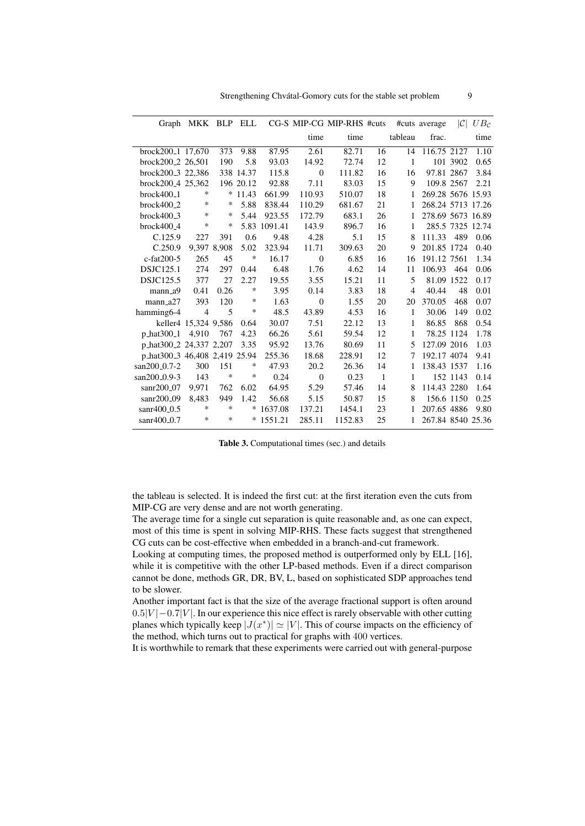|                               | Graph MKK BLP ELL    |        |           |         |                | CG-S MIP-CG MIP-RHS #cuts |              |         | #cuts average     | C        | $UB_{\mathcal{C}}$ |
|-------------------------------|----------------------|--------|-----------|---------|----------------|---------------------------|--------------|---------|-------------------|----------|--------------------|
|                               |                      |        |           |         | time           | time                      |              | tableau | frac.             |          | time               |
| brock200 <sub>-1</sub> 17,670 |                      | 373    | 9.88      | 87.95   | 2.61           | 82.71                     | 16           | 14      | 116.75 2127       |          | 1.10               |
| brock200 <sub>-2</sub> 26.501 |                      | 190    | 5.8       | 93.03   | 14.92          | 72.74                     | 12           | 1       |                   | 101 3902 | 0.65               |
| brock200 <sub>-3</sub> 22,386 |                      |        | 338 14.37 | 115.8   | $\overline{0}$ | 111.82                    | 16           | 16      | 97.81 2867        |          | 3.84               |
| brock200 <sub>-4</sub> 25,362 |                      |        | 196 20.12 | 92.88   | 7.11           | 83.03                     | 15           | 9       | 109.8 2567        |          | 2.21               |
| $brock400_1$                  | *                    | ∗      | 11.43     | 661.99  | 110.93         | 510.07                    | 18           | 1       | 269.28 5676 15.93 |          |                    |
| $brock400_2$                  | *                    | ∗      | 5.88      | 838.44  | 110.29         | 681.67                    | 21           | 1       | 268.24 5713 17.26 |          |                    |
| $brock400_3$                  | *                    | ∗      | 5.44      | 923.55  | 172.79         | 683.1                     | 26           | 1       | 278.69 5673 16.89 |          |                    |
| brock400 <sub>-4</sub>        | ∗                    | ∗      | 5.83      | 1091.41 | 143.9          | 896.7                     | 16           | 1       | 285.5 7325 12.74  |          |                    |
| C.125.9                       | 227                  | 391    | 0.6       | 9.48    | 4.28           | 5.1                       | 15           | 8       | 111.33            | 489      | 0.06               |
| C.250.9                       | 9,397 8,908          |        | 5.02      | 323.94  | 11.71          | 309.63                    | 20           | 9       | 201.85 1724       |          | 0.40               |
| $c$ -fat $200-5$              | 265                  | 45     | *         | 16.17   | $\overline{0}$ | 6.85                      | 16           | 16      | 191.12 7561       |          | 1.34               |
| <b>DSJC125.1</b>              | 274                  | 297    | 0.44      | 6.48    | 1.76           | 4.62                      | 14           | 11      | 106.93            | 464      | 0.06               |
| <b>DSJC125.5</b>              | 377                  | 27     | 2.27      | 19.55   | 3.55           | 15.21                     | 11           | 5       | 81.09 1522        |          | 0.17               |
| $mann_a9$                     | 0.41                 | 0.26   | $\ast$    | 3.95    | 0.14           | 3.83                      | 18           | 4       | 40.44             | 48       | 0.01               |
| $mann_a27$                    | 393                  | 120    | $\ast$    | 1.63    | $\theta$       | 1.55                      | 20           | 20      | 370.05            | 468      | 0.07               |
| hamming 6-4                   | $\overline{4}$       | 5      | $\ast$    | 48.5    | 43.89          | 4.53                      | 16           | 1       | 30.06             | 149      | 0.02               |
|                               | keller4 15,324 9,586 |        | 0.64      | 30.07   | 7.51           | 22.12                     | 13           | 1       | 86.85             | 868      | 0.54               |
| p_hat300_1                    | 4,910                | 767    | 4.23      | 66.26   | 5.61           | 59.54                     | 12           | 1       | 78.25 1124        |          | 1.78               |
| p_hat300_2 24,337 2,207       |                      |        | 3.35      | 95.92   | 13.76          | 80.69                     | 11           | 5       | 127.09 2016       |          | 1.03               |
| p_hat300_3 46,408 2,419 25.94 |                      |        |           | 255.36  | 18.68          | 228.91                    | 12           | 7       | 192.17 4074       |          | 9.41               |
| $san200_0.7-2$                | 300                  | 151    | ∗         | 47.93   | 20.2           | 26.36                     | 14           | 1       | 138.43 1537       |          | 1.16               |
| san200_0.9-3                  | 143                  | ∗      | $\ast$    | 0.24    | $\overline{0}$ | 0.23                      | $\mathbf{1}$ | 1       |                   | 152 1143 | 0.14               |
| $san200_0$                    | 9.971                | 762    | 6.02      | 64.95   | 5.29           | 57.46                     | 14           | 8       | 114.43 2280       |          | 1.64               |
| sanr200 <sub>-09</sub>        | 8,483                | 949    | 1.42      | 56.68   | 5.15           | 50.87                     | 15           | 8       | 156.6 1150        |          | 0.25               |
| sanr400_0.5                   | *                    | $\ast$ | $\ast$    | 1637.08 | 137.21         | 1454.1                    | 23           | 1       | 207.65 4886       |          | 9.80               |
| $sanr400_0.7$                 | *                    | $\ast$ | *         | 1551.21 | 285.11         | 1152.83                   | 25           | 1       | 267.84 8540 25.36 |          |                    |

Table 3. Computational times (sec.) and details

the tableau is selected. It is indeed the first cut: at the first iteration even the cuts from MIP-CG are very dense and are not worth generating.

The average time for a single cut separation is quite reasonable and, as one can expect, most of this time is spent in solving MIP-RHS. These facts suggest that strengthened CG cuts can be cost-effective when embedded in a branch-and-cut framework.

Looking at computing times, the proposed method is outperformed only by ELL [16], while it is competitive with the other LP-based methods. Even if a direct comparison cannot be done, methods GR, DR, BV, L, based on sophisticated SDP approaches tend to be slower.

Another important fact is that the size of the average fractional support is often around  $0.5|V| - 0.7|V|$ . In our experience this nice effect is rarely observable with other cutting planes which typically keep  $|J(x^*)| \simeq |V|$ . This of course impacts on the efficiency of the method, which turns out to practical for graphs with 400 vertices.

It is worthwhile to remark that these experiments were carried out with general-purpose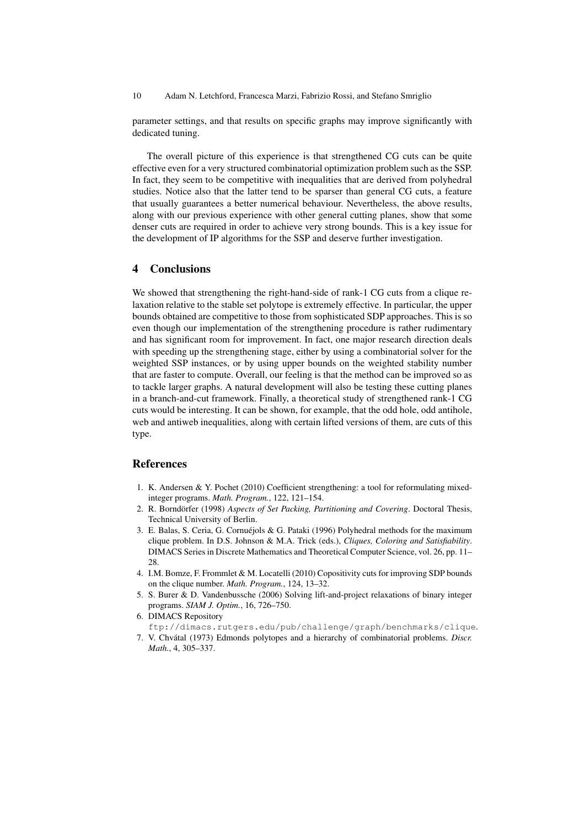10 Adam N. Letchford, Francesca Marzi, Fabrizio Rossi, and Stefano Smriglio

parameter settings, and that results on specific graphs may improve significantly with dedicated tuning.

The overall picture of this experience is that strengthened CG cuts can be quite effective even for a very structured combinatorial optimization problem such as the SSP. In fact, they seem to be competitive with inequalities that are derived from polyhedral studies. Notice also that the latter tend to be sparser than general CG cuts, a feature that usually guarantees a better numerical behaviour. Nevertheless, the above results, along with our previous experience with other general cutting planes, show that some denser cuts are required in order to achieve very strong bounds. This is a key issue for the development of IP algorithms for the SSP and deserve further investigation.

# 4 Conclusions

We showed that strengthening the right-hand-side of rank-1 CG cuts from a clique relaxation relative to the stable set polytope is extremely effective. In particular, the upper bounds obtained are competitive to those from sophisticated SDP approaches. This is so even though our implementation of the strengthening procedure is rather rudimentary and has significant room for improvement. In fact, one major research direction deals with speeding up the strengthening stage, either by using a combinatorial solver for the weighted SSP instances, or by using upper bounds on the weighted stability number that are faster to compute. Overall, our feeling is that the method can be improved so as to tackle larger graphs. A natural development will also be testing these cutting planes in a branch-and-cut framework. Finally, a theoretical study of strengthened rank-1 CG cuts would be interesting. It can be shown, for example, that the odd hole, odd antihole, web and antiweb inequalities, along with certain lifted versions of them, are cuts of this type.

# References

- 1. K. Andersen & Y. Pochet (2010) Coefficient strengthening: a tool for reformulating mixedinteger programs. *Math. Program.*, 122, 121–154.
- 2. R. Borndörfer (1998) Aspects of Set Packing, Partitioning and Covering. Doctoral Thesis, Technical University of Berlin.
- 3. E. Balas, S. Ceria, G. Cornuéjols & G. Pataki (1996) Polyhedral methods for the maximum clique problem. In D.S. Johnson & M.A. Trick (eds.), *Cliques, Coloring and Satisfiability*. DIMACS Series in Discrete Mathematics and Theoretical Computer Science, vol. 26, pp. 11– 28.
- 4. I.M. Bomze, F. Frommlet & M. Locatelli (2010) Copositivity cuts for improving SDP bounds on the clique number. *Math. Program.*, 124, 13–32.
- 5. S. Burer & D. Vandenbussche (2006) Solving lift-and-project relaxations of binary integer programs. *SIAM J. Optim.*, 16, 726–750.
- 6. DIMACS Repository ftp://dimacs.rutgers.edu/pub/challenge/graph/benchmarks/clique.
- 7. V. Chvátal (1973) Edmonds polytopes and a hierarchy of combinatorial problems. Discr. *Math.*, 4, 305–337.